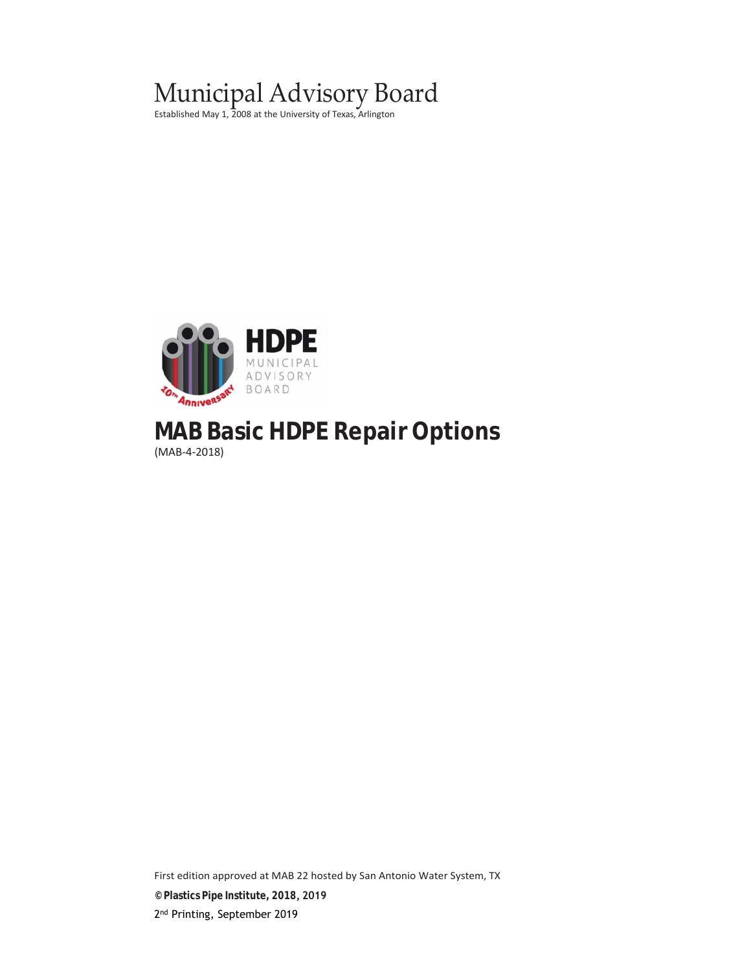## Municipal Advisory Board

Established May 1, 2008 at the University of Texas, Arlington



# **MAB Basic HDPE Repair Options**

(MAB‐4‐2018)

First edition approved at MAB 22 hosted by San Antonio Water System, TX **© Plastics Pipe Institute, 2018, 2019** 2<sup>nd</sup> Printing, September 2019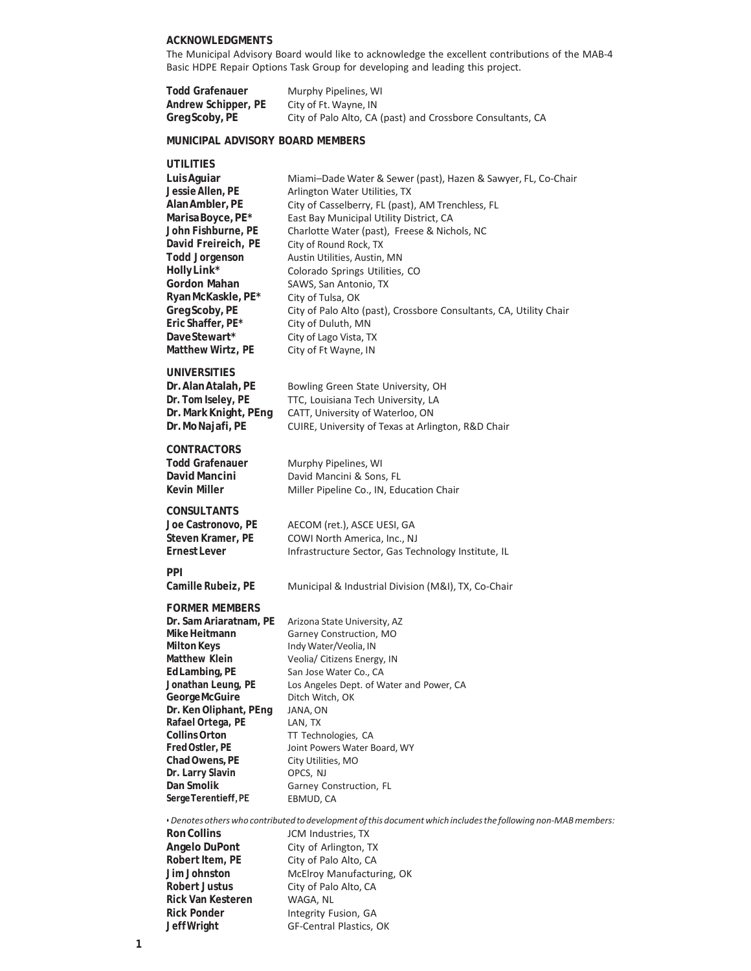#### **ACKNOWLEDGMENTS**

The Municipal Advisory Board would like to acknowledge the excellent contributions of the MAB‐4 Basic HDPE Repair Options Task Group for developing and leading this project.

| <b>Todd Grafenauer</b> | Murphy Pipelines, WI                                       |
|------------------------|------------------------------------------------------------|
| Andrew Schipper, PE    | City of Ft. Wayne, IN                                      |
| Greg Scoby, PE         | City of Palo Alto, CA (past) and Crossbore Consultants, CA |

#### **MUNICIPAL ADVISORY BOARD MEMBERS**

#### **UTILITIES**

| Luis Aguiar<br>Jessie Allen, PE<br>Alan Ambler, PE<br>Marisa Boyce, PE*<br>John Fishburne, PE<br>David Freireich, PE<br><b>Todd Jorgenson</b><br>HollyLink*<br>Gordon Mahan<br>Ryan McKaskle, PE*<br>Greg Scoby, PE<br>Eric Shaffer, PE*<br>DaveStewart*<br>Matthew Wirtz, PE                                                   | Miami-Dade Water & Sewer (past), Hazen & Sawyer, FL, Co-Chair<br>Arlington Water Utilities, TX<br>City of Casselberry, FL (past), AM Trenchless, FL<br>East Bay Municipal Utility District, CA<br>Charlotte Water (past), Freese & Nichols, NC<br>City of Round Rock, TX<br>Austin Utilities, Austin, MN<br>Colorado Springs Utilities, CO<br>SAWS, San Antonio, TX<br>City of Tulsa, OK<br>City of Palo Alto (past), Crossbore Consultants, CA, Utility Chair<br>City of Duluth, MN<br>City of Lago Vista, TX<br>City of Ft Wayne, IN |
|---------------------------------------------------------------------------------------------------------------------------------------------------------------------------------------------------------------------------------------------------------------------------------------------------------------------------------|----------------------------------------------------------------------------------------------------------------------------------------------------------------------------------------------------------------------------------------------------------------------------------------------------------------------------------------------------------------------------------------------------------------------------------------------------------------------------------------------------------------------------------------|
| UNIVERSITIES<br>Dr. Alan Atalah, PE<br>Dr. Tom Iseley, PE<br>Dr. Mark Knight, PEng<br>Dr. Mo Najafi, PE                                                                                                                                                                                                                         | Bowling Green State University, OH<br>TTC, Louisiana Tech University, LA<br>CATT, University of Waterloo, ON<br>CUIRE, University of Texas at Arlington, R&D Chair                                                                                                                                                                                                                                                                                                                                                                     |
| <b>CONTRACTORS</b><br>Todd Grafenauer<br>David Mancini<br>Kevin Miller                                                                                                                                                                                                                                                          | Murphy Pipelines, WI<br>David Mancini & Sons, FL<br>Miller Pipeline Co., IN, Education Chair                                                                                                                                                                                                                                                                                                                                                                                                                                           |
| <b>CONSULTANTS</b><br>Joe Castronovo, PE<br>Steven Kramer, PE<br>Ernest Lever                                                                                                                                                                                                                                                   | AECOM (ret.), ASCE UESI, GA<br>COWI North America, Inc., NJ<br>Infrastructure Sector, Gas Technology Institute, IL                                                                                                                                                                                                                                                                                                                                                                                                                     |
| <b>PPI</b>                                                                                                                                                                                                                                                                                                                      |                                                                                                                                                                                                                                                                                                                                                                                                                                                                                                                                        |
| Camille Rubeiz, PE                                                                                                                                                                                                                                                                                                              | Municipal & Industrial Division (M&I), TX, Co-Chair                                                                                                                                                                                                                                                                                                                                                                                                                                                                                    |
| <b>FORMER MEMBERS</b><br>Dr. Sam Ariaratnam, PE<br>Mike Heitmann<br>Milton Keys<br>Matthew Klein<br>Ed Lambing, PE<br>Jonathan Leung, PE<br>GeorgeMcGuire<br>Dr. Ken Oliphant, PEng<br>Rafael Ortega, PE<br><b>Collins Orton</b><br>Fred Ostler, PE<br>Chad Owens, PE<br>Dr. Larry Slavin<br>Dan Smolik<br>Serge Terentieff, PE | Arizona State University, AZ<br>Garney Construction, MO<br>Indy Water/Veolia, IN<br>Veolia/ Citizens Energy, IN<br>San Jose Water Co., CA<br>Los Angeles Dept. of Water and Power, CA<br>Ditch Witch, OK<br>JANA, ON<br>LAN, TX<br>TT Technologies, CA<br>Joint Powers Water Board, WY<br>City Utilities, MO<br>OPCS, NJ<br>Garney Construction, FL<br>EBMUD, CA                                                                                                                                                                       |
| <b>Ron Collins</b><br>Angelo DuPont<br>Robert Item, PE<br>Jim Johnston<br><b>Robert Justus</b><br><b>Rick Van Kesteren</b><br><b>Rick Ponder</b>                                                                                                                                                                                | • Denotes others who contributed to development of this document which includes the following non-MAB members:<br>JCM Industries, TX<br>City of Arlington, TX<br>City of Palo Alto, CA<br>McElroy Manufacturing, OK<br>City of Palo Alto, CA<br>WAGA, NL<br>Integrity Fusion, GA                                                                                                                                                                                                                                                       |

GF‐Central Plastics, OK

**Jeff Wright**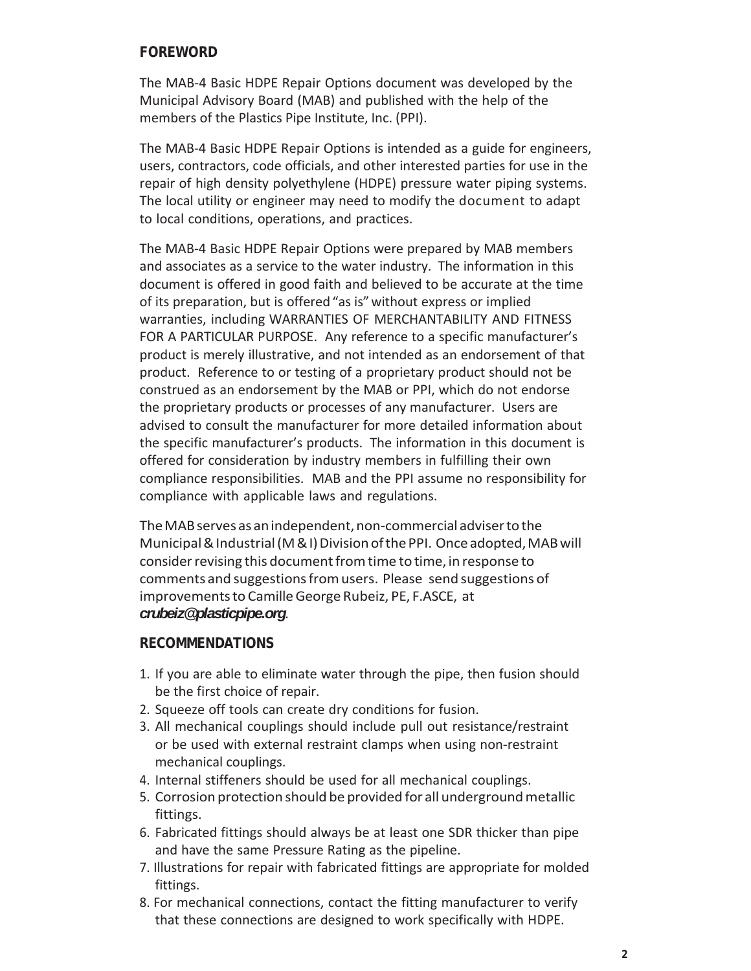#### **FOREWORD**

The MAB‐4 Basic HDPE Repair Options document was developed by the Municipal Advisory Board (MAB) and published with the help of the members of the Plastics Pipe Institute, Inc. (PPI).

The MAB‐4 Basic HDPE Repair Options is intended as a guide for engineers, users, contractors, code officials, and other interested parties for use in the repair of high density polyethylene (HDPE) pressure water piping systems. The local utility or engineer may need to modify the document to adapt to local conditions, operations, and practices.

The MAB‐4 Basic HDPE Repair Options were prepared by MAB members and associates as a service to the water industry. The information in this document is offered in good faith and believed to be accurate at the time of its preparation, but is offered "as is" without express or implied warranties, including WARRANTIES OF MERCHANTABILITY AND FITNESS FOR A PARTICULAR PURPOSE. Any reference to a specific manufacturer's product is merely illustrative, and not intended as an endorsement of that product. Reference to or testing of a proprietary product should not be construed as an endorsement by the MAB or PPI, which do not endorse the proprietary products or processes of any manufacturer. Users are advised to consult the manufacturer for more detailed information about the specific manufacturer's products. The information in this document is offered for consideration by industry members in fulfilling their own compliance responsibilities. MAB and the PPI assume no responsibility for compliance with applicable laws and regulations.

The MAB serves as an independent, non‐commercial adviser to the Municipal & Industrial (M & I) Division of the PPI. Once adopted, MAB will consider revising this document from time to time, in response to comments and suggestions from users. Please send suggestions of improvements to Camille George Rubeiz, PE, F.ASCE, at *crubeiz@plasticpipe.org*.

#### **RECOMMENDATIONS**

- 1. If you are able to eliminate water through the pipe, then fusion should be the first choice of repair.
- 2. Squeeze off tools can create dry conditions for fusion.
- 3. All mechanical couplings should include pull out resistance/restraint or be used with external restraint clamps when using non‐restraint mechanical couplings.
- 4. Internal stiffeners should be used for all mechanical couplings.
- 5. Corrosion protection should be provided for all underground metallic fittings.
- 6. Fabricated fittings should always be at least one SDR thicker than pipe and have the same Pressure Rating as the pipeline.
- 7. Illustrations for repair with fabricated fittings are appropriate for molded fittings.
- 8. For mechanical connections, contact the fitting manufacturer to verify that these connections are designed to work specifically with HDPE.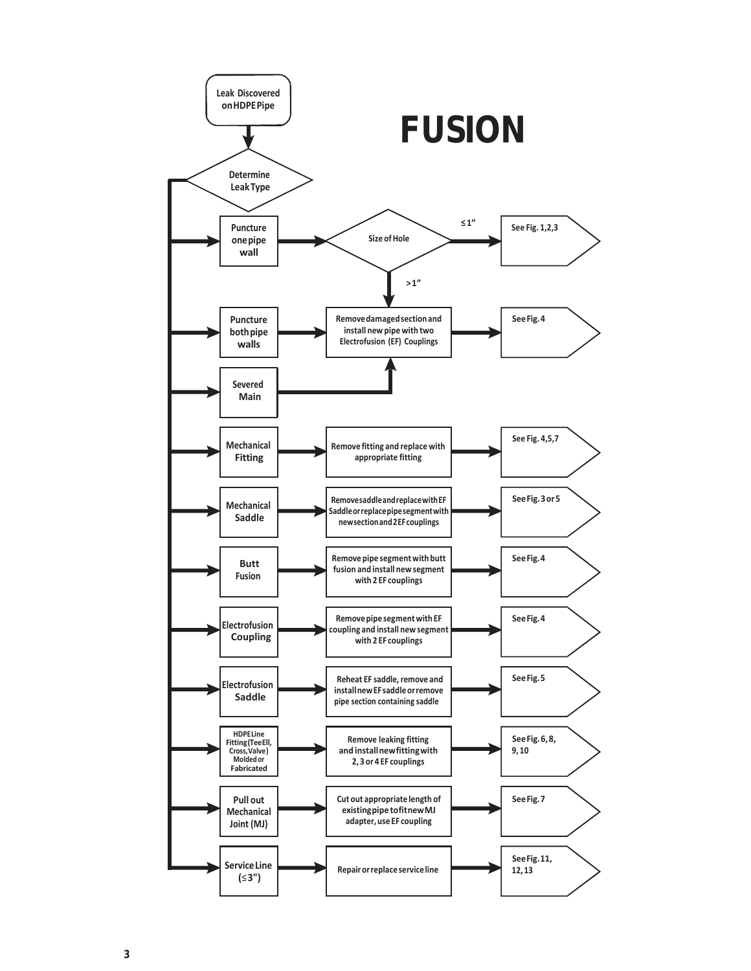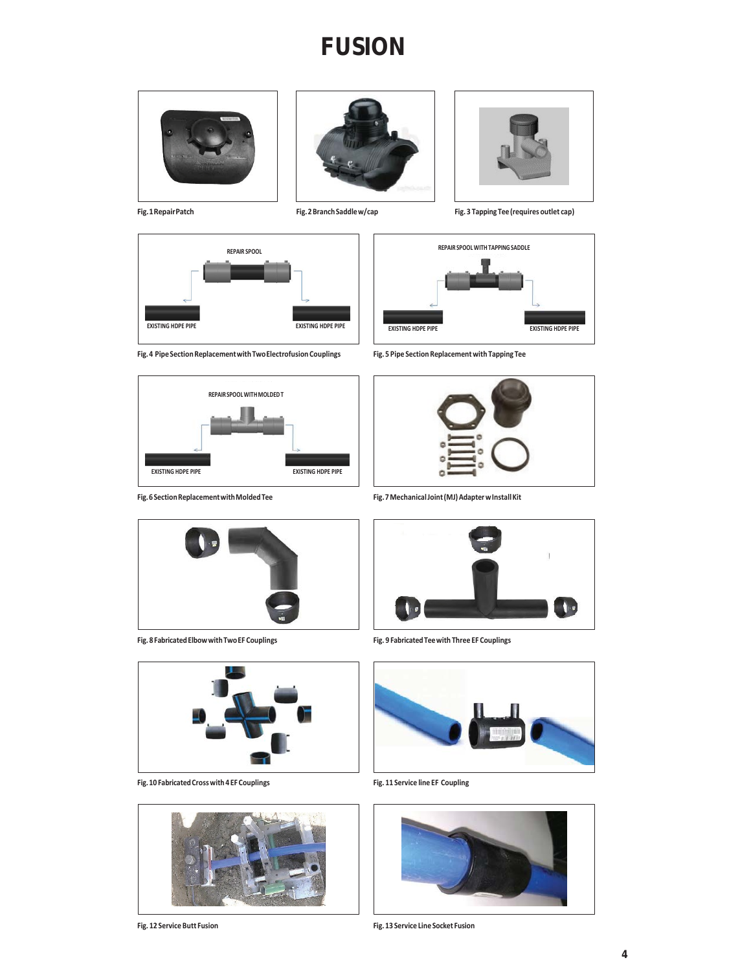## **FUSION**







**Fig. 1 Repair Patch Fig. 2 Branch Saddle w/cap Fig. 3 Tapping Tee (requires outlet cap)**











**Fig. 6 Section Replacement with Molded Tee Fig. 7 Mechanical Joint (MJ) Adapter w Install Kit**





**Fig. 10 Fabricated Cross with 4 EF Couplings Fig. 11 Service line EF Coupling**





**Fig. 8 Fabricated Elbow with Two EF Couplings Fig. 9 Fabricated Tee with Three EF Couplings**





**Fig. 12 Service Butt Fusion Fig. 13 Service Line Socket Fusion**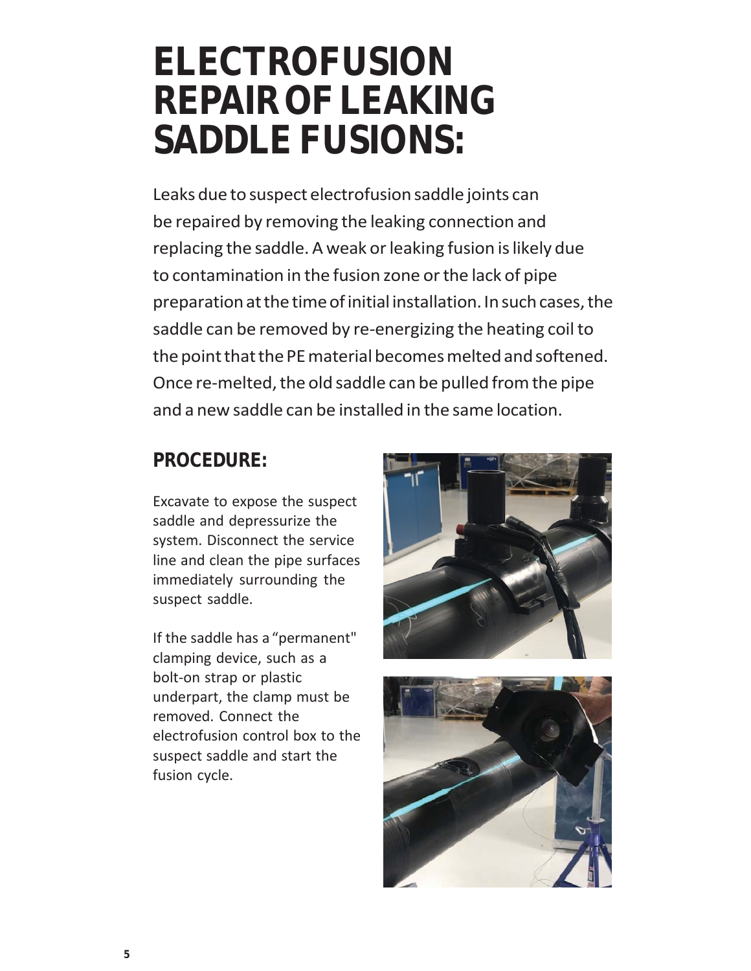# **ELECTROFUSION REPAIR OF LEAKING SADDLE FUSIONS:**

Leaks due to suspect electrofusion saddle joints can be repaired by removing the leaking connection and replacing the saddle. A weak or leaking fusion is likely due to contamination in the fusion zone or the lack of pipe preparation at the time of initial installation. In such cases, the saddle can be removed by re-energizing the heating coil to the point that the PE material becomes melted and softened. Once re‐melted, the old saddle can be pulled from the pipe and a new saddle can be installed in the same location.

### **PROCEDURE:**

Excavate to expose the suspect saddle and depressurize the system. Disconnect the service line and clean the pipe surfaces immediately surrounding the suspect saddle.

If the saddle has a "permanent" clamping device, such as a bolt‐on strap or plastic underpart, the clamp must be removed. Connect the electrofusion control box to the suspect saddle and start the fusion cycle.



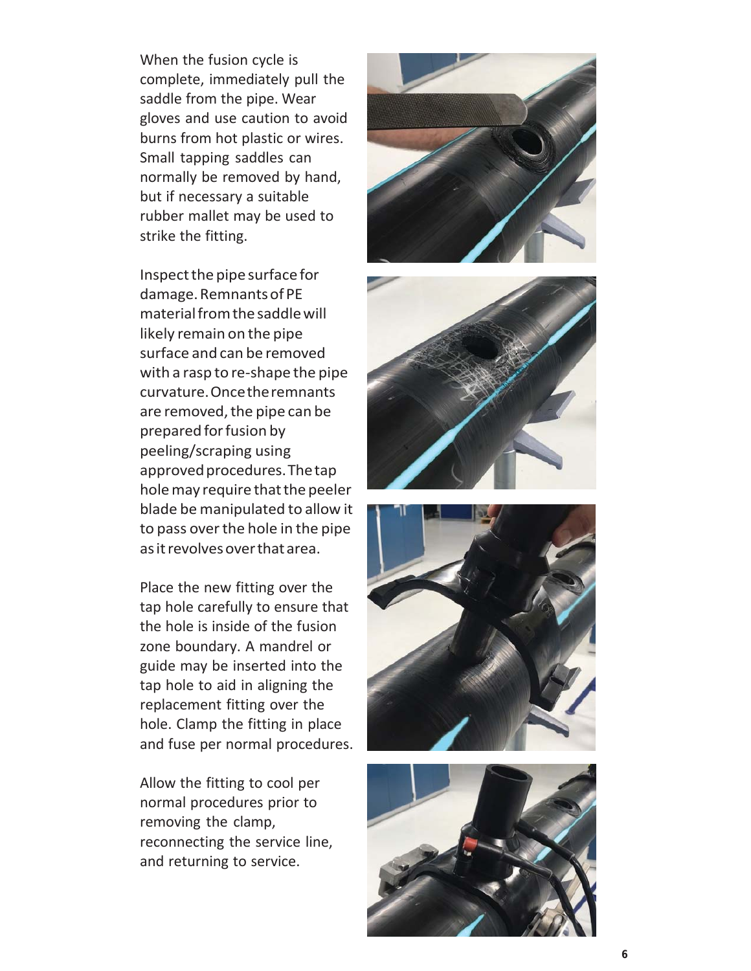When the fusion cycle is complete, immediately pull the saddle from the pipe. Wear gloves and use caution to avoid burns from hot plastic or wires. Small tapping saddles can normally be removed by hand, but if necessary a suitable rubber mallet may be used to strike the fitting.

Inspect the pipe surface for damage. Remnants of PE material from the saddle will likely remain on the pipe surface and can be removed with a rasp to re‐shape the pipe curvature. Once the remnants are removed, the pipe can be prepared for fusion by peeling/scraping using approved procedures. The tap hole may require that the peeler blade be manipulated to allow it to pass over the hole in the pipe as it revolves over that area.

Place the new fitting over the tap hole carefully to ensure that the hole is inside of the fusion zone boundary. A mandrel or guide may be inserted into the tap hole to aid in aligning the replacement fitting over the hole. Clamp the fitting in place and fuse per normal procedures.

Allow the fitting to cool per normal procedures prior to removing the clamp, reconnecting the service line, and returning to service.







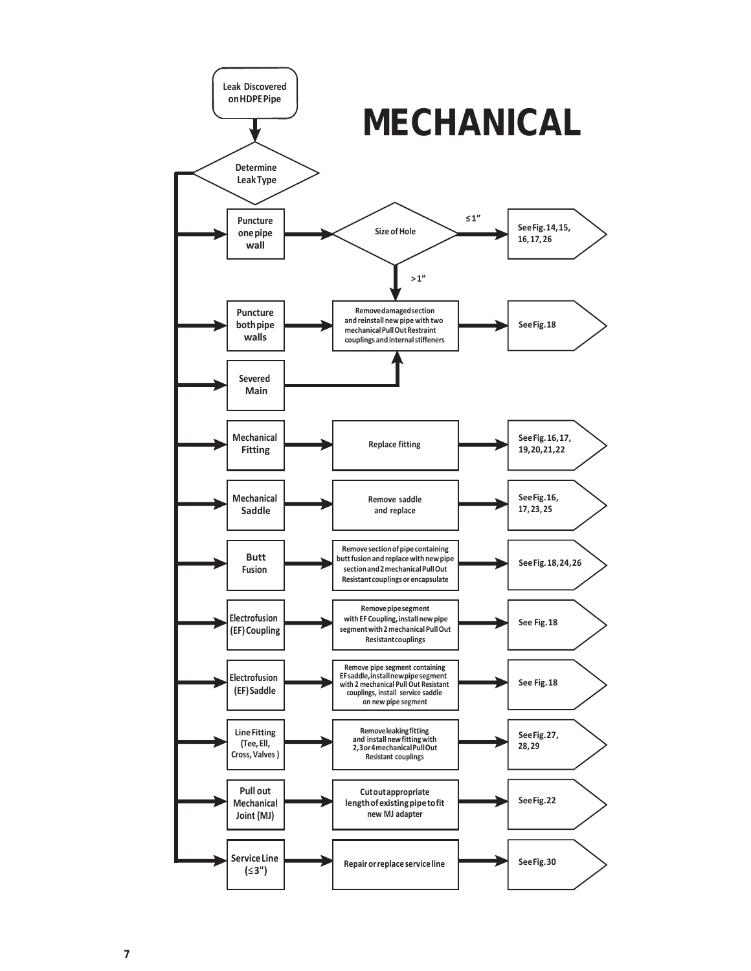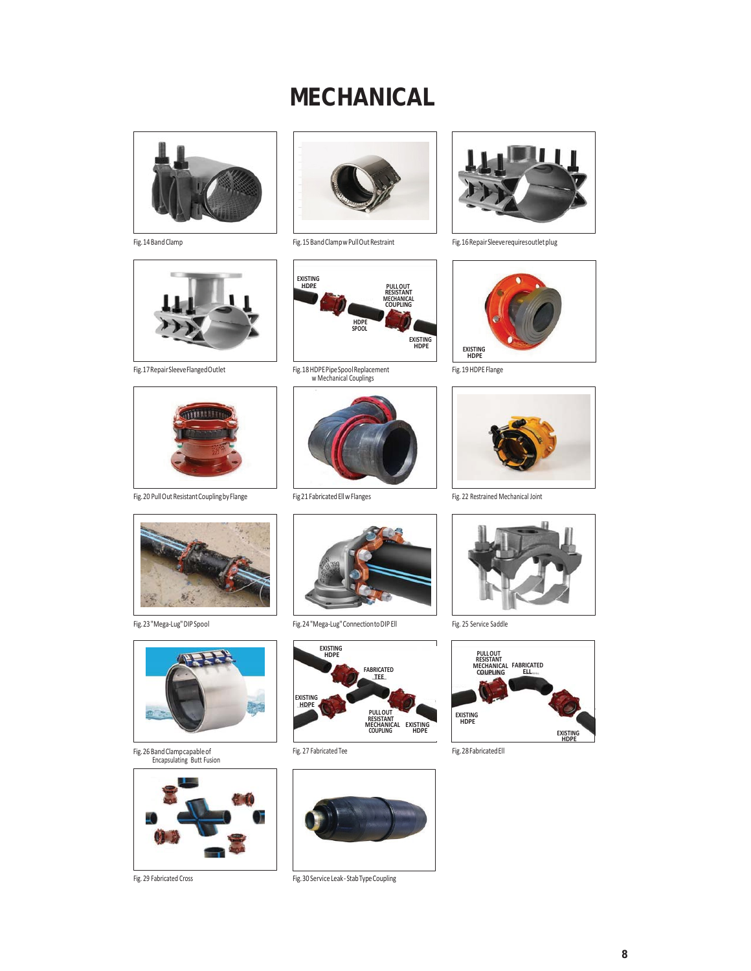## **MECHANICAL**







Fig. 20 Pull Out Resistant Coupling by Flange Fig 21 Fabricated Ell w Flanges Fig. 22 Restrained Mechanical Joint



Fig. 14 Band Clamp Fig. 15 Band Clamp w Pull Out Restraint Fig. 16 Repair Sleeve requires out let plug



Fig. 13 HDPE Pipe Spool Replacement<br>w Mechanical Couplings<br>w Mechanical Couplings







Fig. 19 HDPE Flange







Fig. 26 Band Clamp capable of Encapsulating Butt Fusion



Fig. 29 Fabricated Cross

Fig. 23 "Mega-Lug" DIP Spool Fig. 24 "Mega-Lug" Connection to DIP Ell Fig. 25 Service Saddle





Fig.30 Service Leak‐ StabTypeCoupling